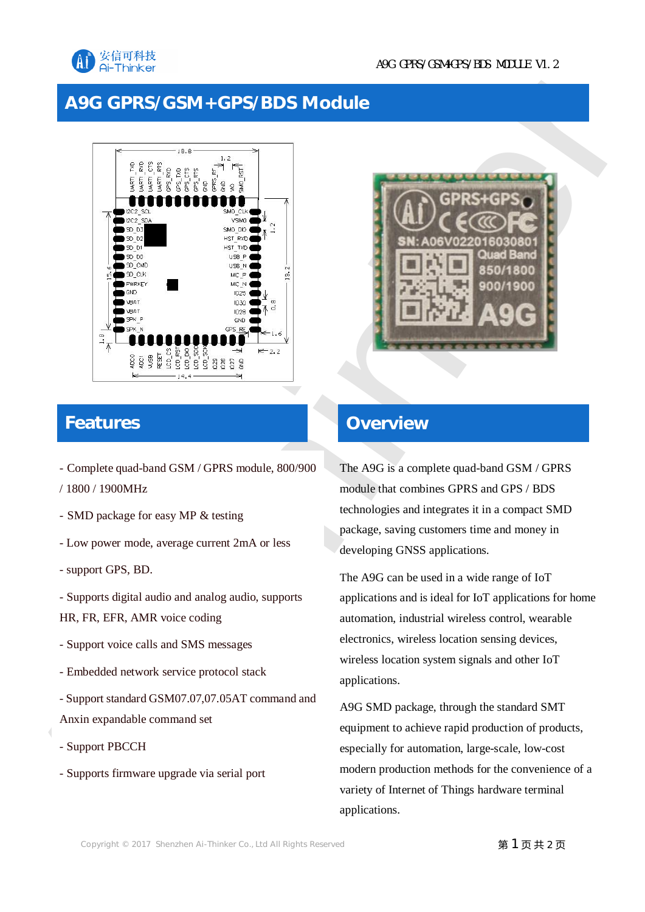

## **A9G GPRS/GSM+GPS/BDS Module**



# **Features**

- Complete quad-band GSM / GPRS module, 800/900
- / 1800 / 1900MHz
- SMD package for easy MP & testing
- Low power mode, average current 2mA or less
- support GPS, BD.
- Supports digital audio and analog audio, supports HR, FR, EFR, AMR voice coding
- Support voice calls and SMS messages
- Embedded network service protocol stack
- Support standard GSM07.07,07.05AT command and Anxin expandable command set
- Support PBCCH
- Supports firmware upgrade via serial port



## **Overview**

The A9G is a complete quad-band GSM / GPRS module that combines GPRS and GPS / BDS technologies and integrates it in a compact SMD package, saving customers time and money in developing GNSS applications.

The A9G can be used in a wide range of IoT applications and is ideal for IoT applications for home automation, industrial wireless control, wearable electronics, wireless location sensing devices, wireless location system signals and other IoT applications.

A9G SMD package, through the standard SMT equipment to achieve rapid production of products, especially for automation, large-scale, low-cost modern production methods for the convenience of a variety of Internet of Things hardware terminal applications.